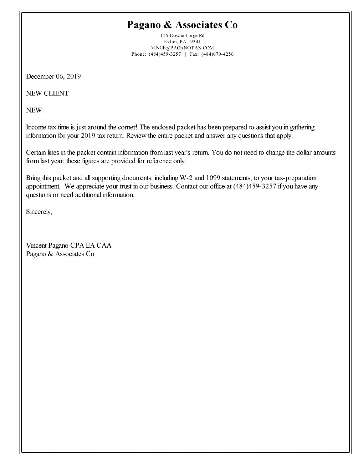# Pagano & Associates Co

155 Dowlin Forge Rd Exton, PA 19341  $\ensuremath{\text{VINCE@P}\xspace}$  AGANOT AX.COM Phone: (484)459-3257 | Fax: (484)879-4256

December 06, 2019

**NEW CLIENT** 

NEW:

Income tax time is just around the corner! The enclosed packet has been prepared to assist you in gathering information for your 2019 tax return. Review the entire packet and answer any questions that apply.

Certain lines in the packet contain information from last year's return. You do not need to change the dollar amounts from last year; these figures are provided for reference only.

Bring this packet and all supporting documents, including W-2 and 1099 statements, to your tax-preparation appointment. We appreciate your trust in our business. Contact our office at (484)459-3257 if you have any questions or need additional information.

Sincerely,

Vincent Pagano CPA EA CAA Pagano & Associates Co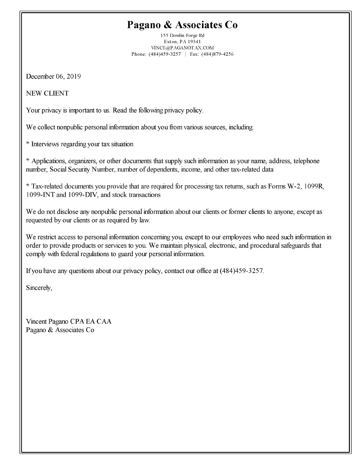# Pagano & Associates Co

155 Dowlin Forge Rd Exton, PA 19341 VINCE@PAGANOTAX.COM Phone: (484)459-3257 | Fax: (484)879-4256

December 06, 2019

**NEW CLIENT** 

Your privacy is important to us. Read the following privacy policy.

We collect nonpublic personal information about you from various sources, including:

\* Interviews regarding your tax situation

\* Applications, organizers, or other documents that supply such information as your name, address, telephone number, Social Security Number, number of dependents, income, and other tax-related data

\* Tax-related documents you provide that are required for processing tax returns, such as Forms W-2, 1099R, 1099-INT and 1099-DIV, and stock transactions

We do not disclose any nonpublic personal information about our clients or former clients to anyone, except as requested by our clients or as required by law.

We restrict access to personal information concerning you, except to our employees who need such information in order to provide products or services to you. We maintain physical, electronic, and procedural safeguards that comply with federal regulations to guard your personal information.

If you have any questions about our privacy policy, contact our office at (484)459-3257.

Sincerely,

Vincent Pagano CPA EA CAA Pagano & Associates Co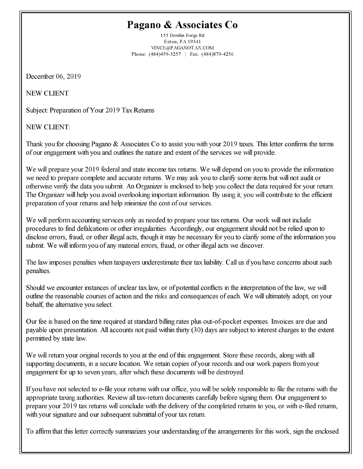# Pagano & Associates Co

155 Dowlin Forge Rd Exton, PA 19341 VINCE@PAGANOTAX.COM Phone: (484)459-3257 | Fax: (484)879-4256

December 06, 2019

**NEW CLIENT** 

Subject: Preparation of Your 2019 Tax Returns

**NEW CLIENT:** 

Thank you for choosing Pagano & Associates Co to assist you with your 2019 taxes. This letter confirms the terms of our engagement with you and outlines the nature and extent of the services we will provide.

We will prepare your 2019 federal and state income tax returns. We will depend on you to provide the information we need to prepare complete and accurate returns. We may ask you to clarify some items but will not audit or otherwise verify the data you submit. An Organizer is enclosed to help you collect the data required for your return. The Organizer will help you avoid overlooking important information. By using it, you will contribute to the efficient preparation of your returns and help minimize the cost of our services.

We will perform accounting services only as needed to prepare your tax returns. Our work will not include procedures to find defalcations or other irregularities. Accordingly, our engagement should not be relied upon to disclose errors, fraud, or other illegal acts, though it may be necessary for you to clarify some of the information you submit. We will inform you of any material errors, fraud, or other illegal acts we discover.

The law imposes penalties when taxpayers underestimate their tax liability. Call us if you have concerns about such penalties.

Should we encounter instances of unclear tax law, or of potential conflicts in the interpretation of the law, we will outline the reasonable courses of action and the risks and consequences of each. We will ultimately adopt, on your behalf, the alternative you select.

Our fee is based on the time required at standard billing rates plus out-of-pocket expenses. Invoices are due and payable upon presentation. All accounts not paid within thirty (30) days are subject to interest charges to the extent permitted by state law.

We will return your original records to you at the end of this engagement. Store these records, along with all supporting documents, in a secure location. We retain copies of your records and our work papers from your engagement for up to seven years, after which these documents will be destroyed.

If you have not selected to e-file your returns with our office, you will be solely responsible to file the returns with the appropriate taxing authorities. Review all tax-return documents carefully before signing them. Our engagement to prepare your 2019 tax returns will conclude with the delivery of the completed returns to you, or with e-filed returns, with your signature and our subsequent submittal of your tax return.

To affirm that this letter correctly summarizes your understanding of the arrangements for this work, sign the enclosed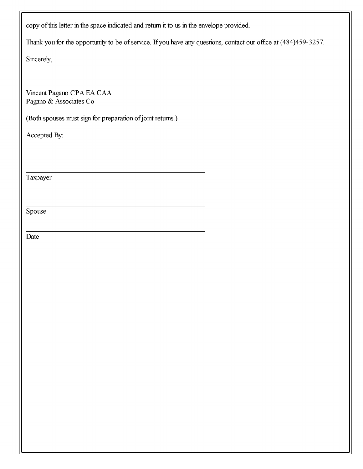copy of this letter in the space indicated and return it to us in the envelope provided.

Thank you for the opportunity to be of service. If you have any questions, contact our office at (484)459-3257.

Sincerely,

Vincent Pagano CPA EA CAA Pagano & Associates Co

(Both spouses must sign for preparation of joint returns.)

Accepted By:

Taxpayer

Spouse

Date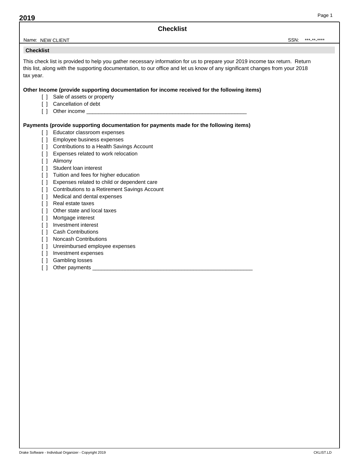**Checklist**

#### Name: NEW CLIENT SON: SSN: NEW CLIENT \*\*\*-\*\*-\*\*\*\*

### **Checklist**

This check list is provided to help you gather necessary information for us to prepare your 2019 income tax return. Return this list, along with the supporting documentation, to our office and let us know of any significant changes from your 2018 tax year.

#### **Other Income (provide supporting documentation for income received for the following items)**

- [ ] Sale of assets or property
- [ ] Cancellation of debt
- [ ] Other income

#### **Payments (provide supporting documentation for payments made for the following items)**

- [] Educator classroom expenses
- [ ] Employee business expenses
- [ ] Contributions to a Health Savings Account
- [ ] Expenses related to work relocation
- [ ] Alimony
- [ ] Student loan interest
- [ ] Tuition and fees for higher education
- [ ] Expenses related to child or dependent care
- [ ] Contributions to a Retirement Savings Account
- [ ] Medical and dental expenses
- [ ] Real estate taxes
- [ ] Other state and local taxes
- [ ] Mortgage interest
- [ ] Investment interest
- [ ] Cash Contributions
- [ ] Noncash Contributions
- [] Unreimbursed employee expenses
- [ ] Investment expenses
- [ ] Gambling losses
- [ ] Other payments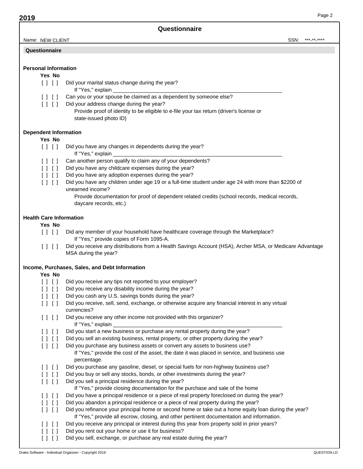#### **Questionnaire**

# **Personal Information**

#### **Yes No**

- [  $\vert$   $\vert$  ] Did your marital status change during the year?
	- If "Yes," explain
- [  $\vert$  ]  $\vert$  Can you or your spouse be claimed as a dependent by someone else?
- [  $\vert$  ]  $\vert$  Did your address change during the year?
	- Provide proof of identity to be eligible to e-file your tax return (driver's license or state-issued photo ID)

#### **Dependent Information**

# **Yes No**

- [  $\vert$  ]  $\vert$  Did you have any changes in dependents during the year?
	- If "Yes," explain
- [  $\vert$  |  $\vert$  | Can another person qualify to claim any of your dependents?
- [  $\vert$  ]  $\vert$  Did you have any childcare expenses during the year?
- [  $\vert$  ]  $\vert$  Did you have any adoption expenses during the year?
- [ ] [ ] Did you have any children under age 19 or a full-time student under age 24 with more than \$2200 of unearned income?
	- Provide documentation for proof of dependent related credits (school records, medical records, daycare records, etc.)

#### **Health Care Information**

# **Yes No**

- [ ] [ ] Did any member of your household have healthcare coverage through the Marketplace? If "Yes," provide copies of Form 1095-A.
- [ ] [ ] Did you receive any distributions from a Health Savings Account (HSA), Archer MSA, or Medicare Advantage MSA during the year?

#### **Income, Purchases, Sales, and Debt Information**

#### **Yes No**

| ו זו ז           | Did you receive any tips not reported to your employer?                                                                                                                                           |
|------------------|---------------------------------------------------------------------------------------------------------------------------------------------------------------------------------------------------|
| $\Box$           | Did you receive any disability income during the year?                                                                                                                                            |
| $\Box$           | Did you cash any U.S. savings bonds during the year?                                                                                                                                              |
| $\Box$<br>$\Box$ | Did you receive, sell, send, exchange, or otherwise acquire any financial interest in any virtual<br>currencies?                                                                                  |
| $[1]$ $[1]$      | Did you receive any other income not provided with this organizer?<br>If "Yes," explain                                                                                                           |
| [11]             | Did you start a new business or purchase any rental property during the year?                                                                                                                     |
| $\Box$           | Did you sell an existing business, rental property, or other property during the year?                                                                                                            |
| $\perp$          | Did you purchase any business assets or convert any assets to business use?                                                                                                                       |
|                  | If "Yes," provide the cost of the asset, the date it was placed in service, and business use<br>percentage.                                                                                       |
| [11]             | Did you purchase any gasoline, diesel, or special fuels for non-highway business use?                                                                                                             |
| $\Box$           | Did you buy or sell any stocks, bonds, or other investments during the year?                                                                                                                      |
| 1 1 1 1          | Did you sell a principal residence during the year?                                                                                                                                               |
|                  | If "Yes," provide closing documentation for the purchase and sale of the home                                                                                                                     |
| $\Box$           | Did you have a principal residence or a piece of real property foreclosed on during the year?                                                                                                     |
| $\Box$           | Did you abandon a principal residence or a piece of real property during the year?                                                                                                                |
| $\Box$<br>$\Box$ | Did you refinance your principal home or second home or take out a home equity loan during the year?<br>If "Yes," provide all escrow, closing, and other pertinent documentation and information. |
| - 1-1            | Did you receive any principal or interest during this year from property sold in prior years?                                                                                                     |
|                  | Did you rent out your home or use it for business?                                                                                                                                                |
|                  | Did you sell, exchange, or purchase any real estate during the year?                                                                                                                              |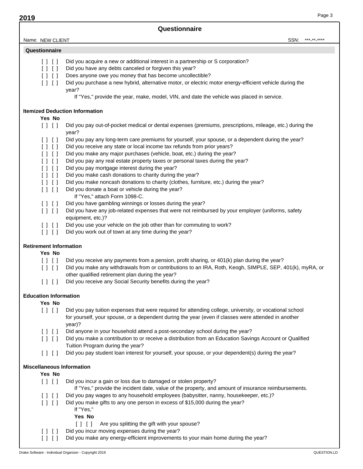**Questionnaire**

Name: NEW CLIENT

SSN: \*\*\*<sub>\*\*\*</sub>\*\*\*\*\*

| [11]<br>[1]                                                                    | Did you acquire a new or additional interest in a partnership or S corporation?<br>Did you have any debts canceled or forgiven this year?                                                                                                                    |
|--------------------------------------------------------------------------------|--------------------------------------------------------------------------------------------------------------------------------------------------------------------------------------------------------------------------------------------------------------|
| $\begin{array}{c} \hline \end{array}$                                          | Does anyone owe you money that has become uncollectible?                                                                                                                                                                                                     |
| $[ \ ] \ [ \ ]$                                                                | Did you purchase a new hybrid, alternative motor, or electric motor energy-efficient vehicle during the<br>year?                                                                                                                                             |
|                                                                                | If "Yes," provide the year, make, model, VIN, and date the vehicle was placed in service.                                                                                                                                                                    |
| Yes No                                                                         | <b>Itemized Deduction Information</b>                                                                                                                                                                                                                        |
| $[ \ ] \ [ \ ]$                                                                | Did you pay out-of-pocket medical or dental expenses (premiums, prescriptions, mileage, etc.) during the<br>year?                                                                                                                                            |
| $\begin{array}{c} \hline \end{array}$<br>$\begin{array}{c} \hline \end{array}$ | Did you pay any long-term care premiums for yourself, your spouse, or a dependent during the year?<br>Did you receive any state or local income tax refunds from prior years?                                                                                |
| [11]                                                                           | Did you make any major purchases (vehicle, boat, etc.) during the year?                                                                                                                                                                                      |
| [1]                                                                            | Did you pay any real estate property taxes or personal taxes during the year?                                                                                                                                                                                |
| [1]                                                                            | Did you pay mortgage interest during the year?                                                                                                                                                                                                               |
| [1]                                                                            | Did you make cash donations to charity during the year?                                                                                                                                                                                                      |
| $\begin{array}{c} \hline \end{array}$                                          | Did you make noncash donations to charity (clothes, furniture, etc.) during the year?<br>Did you donate a boat or vehicle during the year?                                                                                                                   |
| $\begin{bmatrix} 1 & 1 & 1 \end{bmatrix}$                                      | If "Yes," attach Form 1098-C.                                                                                                                                                                                                                                |
| [ ] [ ]                                                                        | Did you have gambling winnings or losses during the year?                                                                                                                                                                                                    |
| $[ \ ] \ [ \ ]$                                                                | Did you have any job-related expenses that were not reimbursed by your employer (uniforms, safety                                                                                                                                                            |
|                                                                                | equipment, etc.)?                                                                                                                                                                                                                                            |
| $[ \; ] \; [ \; ]$                                                             | Did you use your vehicle on the job other than for commuting to work?                                                                                                                                                                                        |
| $[ \ ] \ [ \ ]$                                                                | Did you work out of town at any time during the year?                                                                                                                                                                                                        |
| <b>Retirement Information</b>                                                  |                                                                                                                                                                                                                                                              |
| Yes No                                                                         |                                                                                                                                                                                                                                                              |
| $[ \ ] \ [ \ ]$<br>$\begin{bmatrix} 1 & 1 & 1 \end{bmatrix}$                   | Did you receive any payments from a pension, profit sharing, or 401(k) plan during the year?<br>Did you make any withdrawals from or contributions to an IRA, Roth, Keogh, SIMPLE, SEP, 401(k), myRA, or<br>other qualified retirement plan during the year? |
| $[ \ ] \ [ \ ]$                                                                | Did you receive any Social Security benefits during the year?                                                                                                                                                                                                |
| <b>Education Information</b>                                                   |                                                                                                                                                                                                                                                              |
| Yes No                                                                         |                                                                                                                                                                                                                                                              |
| $[ \ ] \ [ \ ]$                                                                | Did you pay tuition expenses that were required for attending college, university, or vocational school<br>for yourself, your spouse, or a dependent during the year (even if classes were attended in another<br>year)?                                     |
| [11]                                                                           | Did anyone in your household attend a post-secondary school during the year?                                                                                                                                                                                 |
| $\begin{array}{c} \hline \end{array}$                                          | Did you make a contribution to or receive a distribution from an Education Savings Account or Qualified<br>Tuition Program during the year?                                                                                                                  |
| $[ \ ] \ [ \ ]$                                                                | Did you pay student loan interest for yourself, your spouse, or your dependent(s) during the year?                                                                                                                                                           |
| <b>Miscellaneous Information</b>                                               |                                                                                                                                                                                                                                                              |
| Yes No                                                                         |                                                                                                                                                                                                                                                              |
| $[ \ ] \ [ \ ]$                                                                | Did you incur a gain or loss due to damaged or stolen property?<br>If "Yes," provide the incident date, value of the property, and amount of insurance reimbursements.                                                                                       |
| [11]                                                                           | Did you pay wages to any household employees (babysitter, nanny, housekeeper, etc.)?                                                                                                                                                                         |
| $\begin{array}{c} \hline \end{array}$                                          | Did you make gifts to any one person in excess of \$15,000 during the year?<br>If "Yes,"<br>Yes No                                                                                                                                                           |
|                                                                                | Are you splitting the gift with your spouse?<br>$\Box$                                                                                                                                                                                                       |
| 1 1 1 1<br>1 1 1 1                                                             | Did you incur moving expenses during the year?<br>Did you make any energy-efficient improvements to your main home during the year?                                                                                                                          |
|                                                                                |                                                                                                                                                                                                                                                              |
|                                                                                | Drake Software - Individual Organizer - Copyright 2019<br>QUESTION.LD                                                                                                                                                                                        |
|                                                                                |                                                                                                                                                                                                                                                              |
|                                                                                |                                                                                                                                                                                                                                                              |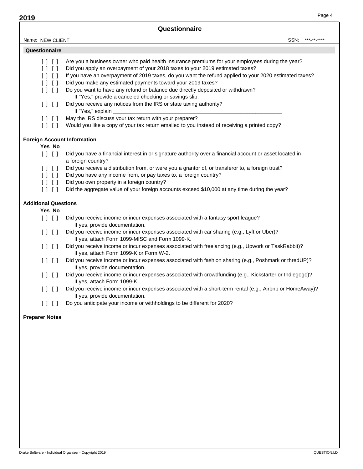# **Questionnaire**

| Name: | <b>CLIENT</b><br>$\sim$<br><b>NEW</b> | SSN: | د مال |
|-------|---------------------------------------|------|-------|
|       |                                       |      |       |

#### **Questionnaire**

- [  $\mid$   $\mid$   $\mid$  Are you a business owner who paid health insurance premiums for your employees during the year?
- [ ] [ ] Did you apply an overpayment of your 2018 taxes to your 2019 estimated taxes?
- [ ] [ ] If you have an overpayment of 2019 taxes, do you want the refund applied to your 2020 estimated taxes?
- [  $\vert$  |  $\vert$  | Did you make any estimated payments toward your 2019 taxes?
- [  $\mid$  |  $\mid$  Do you want to have any refund or balance due directly deposited or withdrawn? If "Yes," provide a canceled checking or savings slip.
- [ ] [ ] Did you receive any notices from the IRS or state taxing authority? If "Yes," explain
- [  $\vert$  ] May the IRS discuss your tax return with your preparer?
- $\lceil$  |  $\lceil$  | Would you like a copy of your tax return emailed to you instead of receiving a printed copy?

# **Foreign Account Information**

# **Yes No**

- [ ] [ ] Did you have a financial interest in or signature authority over a financial account or asset located in a foreign country?
- [ ] [ ] Did you receive a distribution from, or were you a grantor of, or transferor to, a foreign trust?
- [ ] [ ] Did you have any income from, or pay taxes to, a foreign country?
- [ ] [ ] Did you own property in a foreign country?
- [  $\mid$   $\mid$   $\mid$   $\mid$  Did the aggregate value of your foreign accounts exceed \$10,000 at any time during the year?

# **Additional Questions**

# **Yes No**

- [ ] [ ] Did you receive income or incur expenses associated with a fantasy sport league? If yes, provide documentation.
- [ ] [ ] Did you receive income or incur expenses associated with car sharing (e.g., Lyft or Uber)? If yes, attach Form 1099-MISC and Form 1099-K.
- [ ] [ ] Did you receive income or incur expenses associated with freelancing (e.g., Upwork or TaskRabbit)? If yes, attach Form 1099-K or Form W-2.
- [ ] [ ] Did you receive income or incur expenses associated with fashion sharing (e.g., Poshmark or thredUP)? If yes, provide documentation.
- [ ] [ ] Did you receive income or incur expenses associated with crowdfunding (e.g., Kickstarter or Indiegogo)? If yes, attach Form 1099-K.
- [ ] [ ] Did you receive income or incur expenses associated with a short-term rental (e.g., Airbnb or HomeAway)? If yes, provide documentation.
- [] [] Do you anticipate your income or withholdings to be different for 2020?

# **Preparer Notes**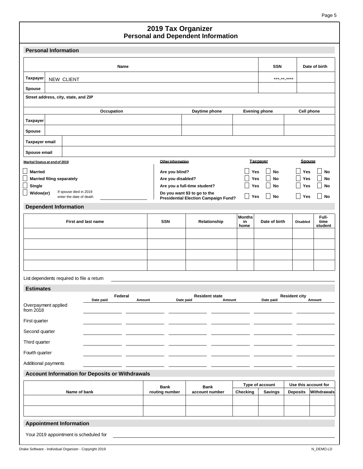| <b>Personal Information</b>                                    |                   |                                      |                             |                               |                      |                          |
|----------------------------------------------------------------|-------------------|--------------------------------------|-----------------------------|-------------------------------|----------------------|--------------------------|
| Name                                                           |                   |                                      |                             | <b>SSN</b>                    |                      | Date of birth            |
| Taxpayer<br>NEW CLIENT                                         |                   |                                      |                             | *** ** ****                   |                      |                          |
| Spouse                                                         |                   |                                      |                             |                               |                      |                          |
| Street address, city, state, and ZIP                           |                   |                                      |                             |                               |                      |                          |
| Occupation                                                     |                   | Daytime phone                        |                             | <b>Evening phone</b>          | <b>Cell phone</b>    |                          |
| <b>Taxpayer</b>                                                |                   |                                      |                             |                               |                      |                          |
| Spouse                                                         |                   |                                      |                             |                               |                      |                          |
| <b>Taxpayer email</b>                                          |                   |                                      |                             |                               |                      |                          |
| Spouse email                                                   |                   |                                      |                             |                               |                      |                          |
| Marital Status at end of 2019                                  | Other information |                                      |                             | <b>Taxpayer</b>               | <b>Spouse</b>        |                          |
| <b>Married</b>                                                 | Are you blind?    |                                      | Yes<br>Yes                  | No<br>No<br>$\vert \ \ \vert$ | Yes<br>Yes           | No<br>No                 |
| <b>Married filing separately</b><br>Single                     | Are you disabled? | Are you a full-time student?         | Yes                         | $\vert \ \ \vert$<br>No       | Yes                  | No                       |
| If spouse died in 2019<br>Widow(er)<br>enter the date of death |                   | Do you want \$3 to go to the         | $\blacksquare$<br>Yes       | $\Box$<br>No                  | Yes                  | No                       |
| <b>Dependent Information</b>                                   |                   | Presidential Election Campaign Fund? |                             |                               |                      |                          |
| <b>First and last name</b>                                     | <b>SSN</b>        | Relationship                         | <b>Months</b><br>in<br>home | Date of birth                 | <b>Disabled</b>      | Full-<br>time<br>student |
|                                                                |                   |                                      |                             |                               |                      |                          |
|                                                                |                   |                                      |                             |                               |                      |                          |
|                                                                |                   |                                      |                             |                               |                      |                          |
|                                                                |                   |                                      |                             |                               |                      |                          |
| List dependents required to file a retum                       |                   |                                      |                             |                               |                      |                          |
| <b>Estimates</b>                                               |                   |                                      |                             |                               |                      |                          |
| Federal<br>Date paid<br>Amount                                 | Date paid         | <b>Resident state</b><br>Amount      |                             | Date paid                     | <b>Resident city</b> | Amount                   |
| Overpayment applied<br>from $2018$                             |                   |                                      |                             |                               |                      |                          |
| First quarter                                                  |                   |                                      |                             |                               |                      |                          |
| Second quarter                                                 |                   |                                      |                             |                               |                      |                          |
| Third quarter                                                  |                   |                                      |                             |                               |                      |                          |
| Fourth quarter                                                 |                   |                                      |                             |                               |                      |                          |
| Additional payments                                            |                   |                                      |                             |                               |                      |                          |
| <b>Account Information for Deposits or Withdrawals</b>         |                   |                                      |                             |                               |                      |                          |
|                                                                | <b>Bank</b>       | <b>Bank</b>                          |                             | Type of account               | Use this account for | Withdrawals              |
| Name of bank                                                   | routing number    | account number                       | Checking                    | <b>Savings</b>                | <b>Deposits</b>      |                          |
|                                                                |                   |                                      |                             |                               |                      |                          |
| <b>Appointment Information</b>                                 |                   |                                      |                             |                               |                      |                          |
| Your 2019 appointment is scheduled for                         |                   |                                      |                             |                               |                      |                          |
|                                                                |                   |                                      |                             |                               |                      |                          |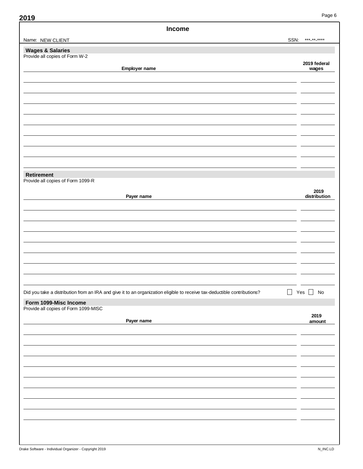| Income                                                                                                                             |                       |
|------------------------------------------------------------------------------------------------------------------------------------|-----------------------|
| SSN:<br>Name: NEW CLIENT                                                                                                           | *** ** ****           |
| <b>Wages &amp; Salaries</b>                                                                                                        |                       |
| Provide all copies of Form W-2                                                                                                     |                       |
| Employer name                                                                                                                      | 2019 federal<br>wages |
|                                                                                                                                    |                       |
|                                                                                                                                    |                       |
|                                                                                                                                    |                       |
|                                                                                                                                    |                       |
|                                                                                                                                    |                       |
|                                                                                                                                    |                       |
|                                                                                                                                    |                       |
|                                                                                                                                    |                       |
|                                                                                                                                    |                       |
|                                                                                                                                    |                       |
|                                                                                                                                    |                       |
| Retirement<br>Provide all copies of Form 1099-R                                                                                    |                       |
|                                                                                                                                    |                       |
| Payer name                                                                                                                         | 2019<br>distribution  |
|                                                                                                                                    |                       |
|                                                                                                                                    |                       |
|                                                                                                                                    |                       |
|                                                                                                                                    |                       |
|                                                                                                                                    |                       |
|                                                                                                                                    |                       |
|                                                                                                                                    |                       |
|                                                                                                                                    |                       |
|                                                                                                                                    |                       |
| $\Box$<br>Did you take a distribution from an IRA and give it to an organization eligible to receive tax-deductible contributions? | Yes $\Box$ No         |
|                                                                                                                                    |                       |
| Form 1099-Misc Income<br>Provide all copies of Form 1099-MISC                                                                      |                       |
|                                                                                                                                    | 2019                  |
| Payer name                                                                                                                         | amount                |
|                                                                                                                                    |                       |
|                                                                                                                                    |                       |
|                                                                                                                                    |                       |
|                                                                                                                                    |                       |
|                                                                                                                                    |                       |
|                                                                                                                                    |                       |
|                                                                                                                                    |                       |
|                                                                                                                                    |                       |
|                                                                                                                                    |                       |
|                                                                                                                                    |                       |
|                                                                                                                                    |                       |
|                                                                                                                                    |                       |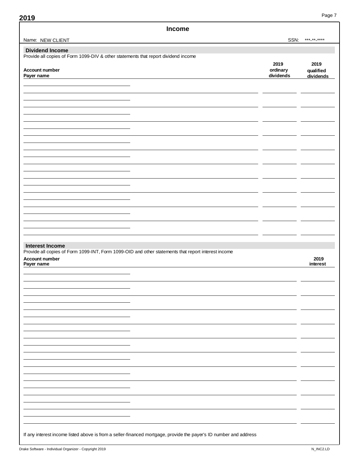| Name: NEW CLIENT<br>SSN:<br><b>Dividend Income</b><br>Provide all copies of Form 1099-DIV & other statements that report dividend income<br>2019<br>ordinary<br>Account number<br>dividends<br>Payer name | *** ** ****<br>2019<br>qualified |
|-----------------------------------------------------------------------------------------------------------------------------------------------------------------------------------------------------------|----------------------------------|
|                                                                                                                                                                                                           |                                  |
|                                                                                                                                                                                                           |                                  |
|                                                                                                                                                                                                           |                                  |
|                                                                                                                                                                                                           |                                  |
|                                                                                                                                                                                                           | dividends                        |
|                                                                                                                                                                                                           |                                  |
|                                                                                                                                                                                                           |                                  |
|                                                                                                                                                                                                           |                                  |
|                                                                                                                                                                                                           |                                  |
|                                                                                                                                                                                                           |                                  |
|                                                                                                                                                                                                           |                                  |
|                                                                                                                                                                                                           |                                  |
|                                                                                                                                                                                                           |                                  |
|                                                                                                                                                                                                           |                                  |
|                                                                                                                                                                                                           |                                  |
|                                                                                                                                                                                                           |                                  |
|                                                                                                                                                                                                           |                                  |
|                                                                                                                                                                                                           |                                  |
|                                                                                                                                                                                                           |                                  |
|                                                                                                                                                                                                           |                                  |
|                                                                                                                                                                                                           |                                  |
| <b>Interest Income</b>                                                                                                                                                                                    |                                  |
| Provide all copies of Form 1099-INT, Form 1099-OID and other statements that report interest income<br>Account number                                                                                     | 2019                             |
| Payer name                                                                                                                                                                                                | interest                         |
|                                                                                                                                                                                                           |                                  |
|                                                                                                                                                                                                           |                                  |
|                                                                                                                                                                                                           |                                  |
|                                                                                                                                                                                                           |                                  |
|                                                                                                                                                                                                           |                                  |
|                                                                                                                                                                                                           |                                  |
|                                                                                                                                                                                                           |                                  |
|                                                                                                                                                                                                           |                                  |
|                                                                                                                                                                                                           |                                  |
|                                                                                                                                                                                                           |                                  |
|                                                                                                                                                                                                           |                                  |
|                                                                                                                                                                                                           |                                  |
|                                                                                                                                                                                                           |                                  |
|                                                                                                                                                                                                           |                                  |
|                                                                                                                                                                                                           |                                  |
|                                                                                                                                                                                                           |                                  |
| If any interest income listed above is from a seller-financed mortgage, provide the payer's ID number and address                                                                                         |                                  |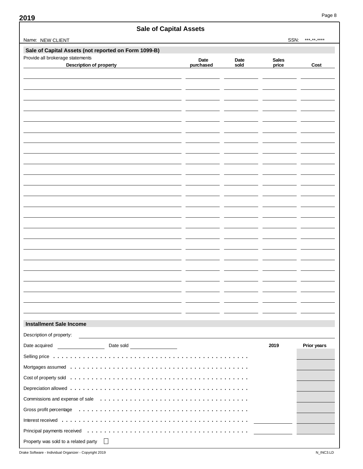| Sale of Capital Assets                                                                   |                   |              |                       |                    |
|------------------------------------------------------------------------------------------|-------------------|--------------|-----------------------|--------------------|
| Name: NEW CLIENT                                                                         |                   |              | SSN:                  | *** ** ****        |
| Sale of Capital Assets (not reported on Form 1099-B)<br>Provide all brokerage statements |                   |              |                       |                    |
| <b>Description of property</b>                                                           | Date<br>purchased | Date<br>sold | <b>Sales</b><br>price | Cost               |
|                                                                                          |                   |              |                       |                    |
|                                                                                          |                   |              |                       |                    |
|                                                                                          |                   |              |                       |                    |
|                                                                                          |                   |              |                       |                    |
|                                                                                          |                   |              |                       |                    |
|                                                                                          |                   |              |                       |                    |
|                                                                                          |                   |              |                       |                    |
|                                                                                          |                   |              |                       |                    |
|                                                                                          |                   |              |                       |                    |
|                                                                                          |                   |              |                       |                    |
|                                                                                          |                   |              |                       |                    |
|                                                                                          |                   |              |                       |                    |
|                                                                                          |                   |              |                       |                    |
|                                                                                          |                   |              |                       |                    |
|                                                                                          |                   |              |                       |                    |
|                                                                                          |                   |              |                       |                    |
|                                                                                          |                   |              |                       |                    |
|                                                                                          |                   |              |                       |                    |
|                                                                                          |                   |              |                       |                    |
|                                                                                          |                   |              |                       |                    |
|                                                                                          |                   |              |                       |                    |
|                                                                                          |                   |              |                       |                    |
|                                                                                          |                   |              |                       |                    |
|                                                                                          |                   |              |                       |                    |
| <b>Installment Sale Income</b>                                                           |                   |              |                       |                    |
| Description of property:                                                                 |                   |              |                       |                    |
|                                                                                          |                   |              | 2019                  | <b>Prior years</b> |
|                                                                                          |                   |              |                       |                    |
|                                                                                          |                   |              |                       |                    |
|                                                                                          |                   |              |                       |                    |
|                                                                                          |                   |              |                       |                    |
|                                                                                          |                   |              |                       |                    |
|                                                                                          |                   |              |                       |                    |
|                                                                                          |                   |              |                       |                    |
|                                                                                          |                   |              |                       |                    |
| Property was sold to a related party<br>$\perp$                                          |                   |              |                       |                    |

Drake Software - Individual Organizer - Copyright 2019 No. 100 No. 100 No. 100 No. 100 No. 100 No. 100 No. 100 N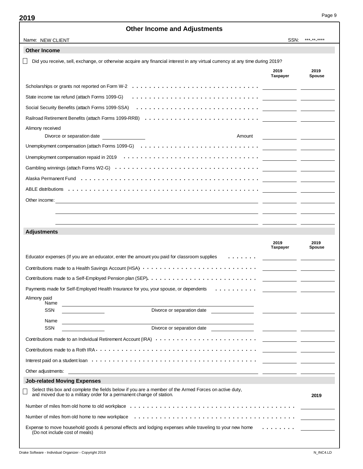| Name: NEW CLIENT                                                                                                                                                                                                               | SSN:                                                                                                                        | ***_**_****                               |
|--------------------------------------------------------------------------------------------------------------------------------------------------------------------------------------------------------------------------------|-----------------------------------------------------------------------------------------------------------------------------|-------------------------------------------|
| <b>Other Income</b>                                                                                                                                                                                                            |                                                                                                                             |                                           |
| Did you receive, sell, exchange, or otherwise acquire any financial interest in any virtual currency at any time during 2019?                                                                                                  |                                                                                                                             |                                           |
|                                                                                                                                                                                                                                | 2019<br><b>Taxpayer</b>                                                                                                     | 2019<br><b>Spouse</b>                     |
|                                                                                                                                                                                                                                |                                                                                                                             |                                           |
| State income tax refund (attach Forms 1099-G)                                                                                                                                                                                  | <u> 1989 - Andrea Station Barbara, amerikan personal personal personal personal personal personal personal personal per</u> |                                           |
| Social Security Benefits (attach Forms 1099-SSA) (all content of the content of the content of the content of the content of the content of the content of the content of the content of the content of the content of the con |                                                                                                                             |                                           |
|                                                                                                                                                                                                                                |                                                                                                                             |                                           |
| Alimony received<br>Divorce or separation date<br>Amount                                                                                                                                                                       |                                                                                                                             |                                           |
| Unemployment compensation (attach Forms 1099-G) $\dots\dots\dots\dots\dots\dots\dots\dots\dots\dots\dots\dots\dots\dots$                                                                                                       |                                                                                                                             |                                           |
|                                                                                                                                                                                                                                |                                                                                                                             |                                           |
| Gambling winnings (attach Forms W2-G) $\cdots \cdots \cdots \cdots \cdots \cdots \cdots \cdots \cdots \cdots \cdots \cdots \cdots$                                                                                             | <u> 1980 - Jan Samuel Barbara, martin de la propincia de la propincia de la propincia de la propincia de la propi</u>       |                                           |
|                                                                                                                                                                                                                                |                                                                                                                             |                                           |
|                                                                                                                                                                                                                                |                                                                                                                             | the company of the company of the company |
| Other income:                                                                                                                                                                                                                  |                                                                                                                             |                                           |
|                                                                                                                                                                                                                                |                                                                                                                             |                                           |
|                                                                                                                                                                                                                                |                                                                                                                             |                                           |
| <b>Adjustments</b>                                                                                                                                                                                                             |                                                                                                                             |                                           |
|                                                                                                                                                                                                                                | 2019<br>Taxpayer                                                                                                            | 2019<br><b>Spouse</b>                     |
| Educator expenses (If you are an educator, enter the amount you paid for classroom supplies                                                                                                                                    |                                                                                                                             |                                           |
|                                                                                                                                                                                                                                |                                                                                                                             |                                           |
| Contributions made to a Self-Employed Pension plan (SEP). $\dots \dots \dots \dots \dots \dots \dots \dots \dots \dots$                                                                                                        |                                                                                                                             |                                           |
| Payments made for Self-Employed Health Insurance for you, your spouse, or dependents<br>.                                                                                                                                      |                                                                                                                             |                                           |
| Alimony paid                                                                                                                                                                                                                   |                                                                                                                             |                                           |
| Name<br><b>SSN</b><br>Divorce or separation date                                                                                                                                                                               |                                                                                                                             |                                           |
| Name                                                                                                                                                                                                                           |                                                                                                                             |                                           |
| SSN                                                                                                                                                                                                                            |                                                                                                                             |                                           |
|                                                                                                                                                                                                                                | <u> 1989 - John Harry John Harry Harry Harry Harry Harry Harry Harry Harry Harry Harry Harry Harry Harry Harry Har</u>      |                                           |
|                                                                                                                                                                                                                                |                                                                                                                             |                                           |
|                                                                                                                                                                                                                                |                                                                                                                             |                                           |
|                                                                                                                                                                                                                                |                                                                                                                             |                                           |
| <b>Job-related Moving Expenses</b>                                                                                                                                                                                             |                                                                                                                             |                                           |
| Select this box and complete the fields below if you are a member of the Armed Forces on active duty,<br>and moved due to a military order for a permanent change of station.                                                  |                                                                                                                             | 2019                                      |
|                                                                                                                                                                                                                                |                                                                                                                             |                                           |
|                                                                                                                                                                                                                                |                                                                                                                             |                                           |
| Expense to move household goods & personal effects and lodging expenses while traveling to your new home $\dots \dots$<br>(Do not include cost of meals)                                                                       |                                                                                                                             |                                           |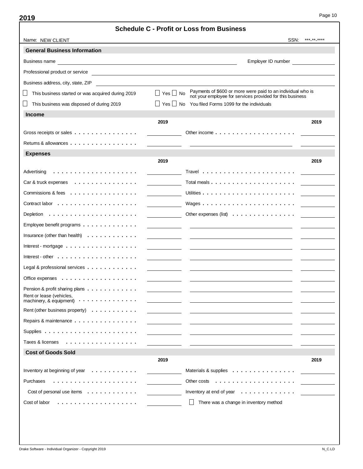|                                                                                          | <b>Schedule C - Profit or Loss from Business</b>                                                                                               |             |
|------------------------------------------------------------------------------------------|------------------------------------------------------------------------------------------------------------------------------------------------|-------------|
| Name: NEW CLIENT                                                                         | SSN:                                                                                                                                           | ***_**_**** |
| <b>General Business Information</b>                                                      |                                                                                                                                                |             |
| Business name                                                                            | Employer ID number                                                                                                                             |             |
| Professional product or service                                                          |                                                                                                                                                |             |
| Business address, city, state, ZIP<br><u> 1980 - John Stein, Amerikaansk politiker (</u> |                                                                                                                                                |             |
| This business started or was acquired during 2019                                        | Payments of \$600 or more were paid to an individual who is<br>$Yes \mid \mid No$<br>not your employee for services provided for this business |             |
| This business was disposed of during 2019                                                | Yes     No You filed Forms 1099 for the individuals                                                                                            |             |
| <b>Income</b>                                                                            |                                                                                                                                                |             |
|                                                                                          | 2019                                                                                                                                           | 2019        |
| Gross receipts or sales                                                                  | Other income $\ldots$ , $\ldots$ , $\ldots$ , $\ldots$ , $\ldots$ , $\ldots$ , $\ldots$                                                        |             |
| Returns & allowances $\dots$                                                             |                                                                                                                                                |             |
| <b>Expenses</b>                                                                          |                                                                                                                                                |             |
|                                                                                          | 2019                                                                                                                                           | 2019        |
| Advertising                                                                              |                                                                                                                                                |             |
| Car & truck expenses $\ldots \ldots \ldots \ldots$                                       | Total meals $\ldots$ $\ldots$ $\ldots$ $\ldots$ $\ldots$ $\ldots$ $\ldots$ $\ldots$                                                            |             |
| Commissions & fees $\dots \dots \dots \dots \dots$                                       |                                                                                                                                                |             |
|                                                                                          |                                                                                                                                                |             |
|                                                                                          |                                                                                                                                                |             |
| Employee benefit programs $\ldots \ldots \ldots \ldots$                                  |                                                                                                                                                |             |
| Insurance (other than health) $\ldots \ldots \ldots \ldots$                              |                                                                                                                                                |             |
| Interest - mortgage $\ldots \ldots \ldots \ldots \ldots$                                 |                                                                                                                                                |             |
| Interest - other $\dots \dots \dots \dots \dots \dots$                                   |                                                                                                                                                |             |
| Legal & professional services $\dots \dots \dots \dots$                                  |                                                                                                                                                |             |
| Office expenses $\dots$ ,                                                                |                                                                                                                                                |             |
| Pension & profit sharing plans                                                           |                                                                                                                                                |             |
| Rent or lease (vehicles,<br>machinery, & equipment) $\cdots$                             |                                                                                                                                                |             |
| Rent (other business property) $\ldots$ ,                                                |                                                                                                                                                |             |
| Repairs & maintenance                                                                    |                                                                                                                                                |             |
|                                                                                          |                                                                                                                                                |             |
| Taxes & licenses<br>.                                                                    |                                                                                                                                                |             |
| <b>Cost of Goods Sold</b>                                                                |                                                                                                                                                |             |
|                                                                                          | 2019                                                                                                                                           | 2019        |
| Inventory at beginning of year $\ldots \ldots \ldots$                                    | Materials & supplies                                                                                                                           |             |
| Purchases                                                                                | Other costs<br>.                                                                                                                               |             |
| Cost of personal use items $\ldots \ldots \ldots \ldots$                                 | Inventory at end of year<br>.                                                                                                                  |             |
| Cost of labor<br>.                                                                       | There was a change in inventory method                                                                                                         |             |
|                                                                                          |                                                                                                                                                |             |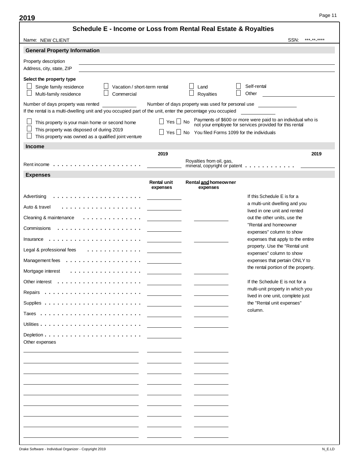| Schedule E - Income or Loss from Rental Real Estate & Royalties                                                                                     |                         |                                                   |                                                                                                                        |
|-----------------------------------------------------------------------------------------------------------------------------------------------------|-------------------------|---------------------------------------------------|------------------------------------------------------------------------------------------------------------------------|
| Name: NEW CLIENT                                                                                                                                    |                         |                                                   | ***_**_****<br>SSN:                                                                                                    |
| <b>General Property Information</b>                                                                                                                 |                         |                                                   |                                                                                                                        |
| Property description<br>Address, city, state, ZIP                                                                                                   |                         |                                                   |                                                                                                                        |
| Select the property type<br>Single family residence<br>Vacation / short-term rental<br>Multi-family residence<br>Commercial                         |                         | Land<br>Royalties                                 | Self-rental<br>Other                                                                                                   |
| Number of days property was rented<br>If the rental is a multi-dwelling unit and you occupied part of the unit, enter the percentage you occupied   |                         | Number of days property was used for personal use |                                                                                                                        |
| This property is your main home or second home<br>This property was disposed of during 2019<br>This property was owned as a qualified joint venture | Yes   No<br>Yes         | No You filed Forms 1099 for the individuals       | Payments of \$600 or more were paid to an individual who is<br>not your employee for services provided for this rental |
| <b>Income</b>                                                                                                                                       |                         |                                                   |                                                                                                                        |
|                                                                                                                                                     | 2019                    | Royalties from oil, gas,                          | 2019<br>mineral, copyright or patent _________                                                                         |
| <b>Expenses</b>                                                                                                                                     |                         |                                                   |                                                                                                                        |
|                                                                                                                                                     | Rental unit<br>expenses | Rental and homeowner<br>expenses                  |                                                                                                                        |
| Advertising                                                                                                                                         |                         |                                                   | If this Schedule E is for a                                                                                            |
| Auto & travel                                                                                                                                       |                         |                                                   | a multi-unit dwelling and you<br>lived in one unit and rented                                                          |
| Cleaning & maintenance<br>.                                                                                                                         |                         |                                                   | out the other units, use the                                                                                           |
| Commissions                                                                                                                                         |                         |                                                   | "Rental and homeowner<br>expenses" column to show                                                                      |
|                                                                                                                                                     |                         |                                                   | expenses that apply to the entire                                                                                      |
| Legal & professional fees<br>.                                                                                                                      |                         |                                                   | property. Use the "Rental unit<br>expenses" column to show                                                             |
| Management fees $\ldots \ldots \ldots \ldots \ldots$                                                                                                |                         |                                                   | expenses that pertain ONLY to                                                                                          |
| Mortgage interest<br>.                                                                                                                              |                         |                                                   | the rental portion of the property.                                                                                    |
|                                                                                                                                                     |                         |                                                   | If the Schedule E is not for a                                                                                         |
| Repairs<br>. <b>.</b>                                                                                                                               |                         |                                                   | multi-unit property in which you<br>lived in one unit, complete just                                                   |
|                                                                                                                                                     |                         |                                                   | the "Rental unit expenses"                                                                                             |
|                                                                                                                                                     |                         |                                                   | column.                                                                                                                |
|                                                                                                                                                     |                         |                                                   |                                                                                                                        |
|                                                                                                                                                     |                         |                                                   |                                                                                                                        |
| Other expenses                                                                                                                                      |                         |                                                   |                                                                                                                        |
|                                                                                                                                                     |                         |                                                   |                                                                                                                        |
|                                                                                                                                                     |                         |                                                   |                                                                                                                        |
|                                                                                                                                                     |                         |                                                   |                                                                                                                        |
|                                                                                                                                                     |                         |                                                   |                                                                                                                        |
|                                                                                                                                                     |                         |                                                   |                                                                                                                        |
|                                                                                                                                                     |                         |                                                   |                                                                                                                        |
|                                                                                                                                                     |                         |                                                   |                                                                                                                        |
|                                                                                                                                                     |                         |                                                   |                                                                                                                        |
|                                                                                                                                                     |                         |                                                   |                                                                                                                        |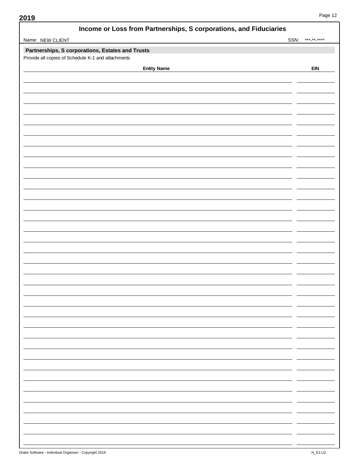| Income or Loss from Partnerships, S corporations, and Fiduciaries |             |
|-------------------------------------------------------------------|-------------|
| Name: NEW CLIENT<br>SSN:                                          | *** ** **** |
| Partnerships, S corporations, Estates and Trusts                  |             |
| Provide all copies of Schedule K-1 and attachments                |             |
| <b>Entity Name</b>                                                | <b>EIN</b>  |
|                                                                   |             |
|                                                                   |             |
|                                                                   |             |
|                                                                   |             |
|                                                                   |             |
|                                                                   |             |
|                                                                   |             |
|                                                                   |             |
|                                                                   |             |
|                                                                   |             |
|                                                                   |             |
|                                                                   |             |
|                                                                   |             |
|                                                                   |             |
|                                                                   |             |
|                                                                   |             |
|                                                                   |             |
|                                                                   |             |
|                                                                   |             |
|                                                                   |             |
|                                                                   |             |
|                                                                   |             |
|                                                                   |             |
|                                                                   |             |
|                                                                   |             |
|                                                                   |             |
|                                                                   |             |
|                                                                   |             |
|                                                                   |             |
|                                                                   |             |
|                                                                   |             |
|                                                                   |             |
|                                                                   |             |
|                                                                   |             |
|                                                                   |             |
|                                                                   |             |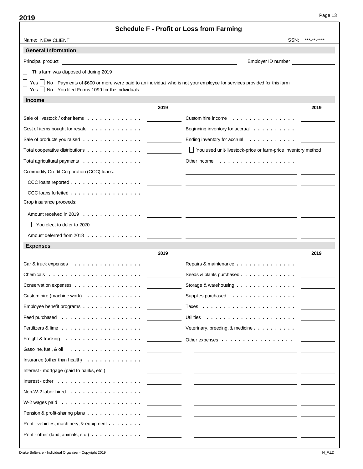| <b>Schedule F - Profit or Loss from Farming</b>                                                                                                                                                                                                           |                                                                                                                        |
|-----------------------------------------------------------------------------------------------------------------------------------------------------------------------------------------------------------------------------------------------------------|------------------------------------------------------------------------------------------------------------------------|
| Name: NEW CLIENT                                                                                                                                                                                                                                          | SSN:<br>***_**_****                                                                                                    |
| <b>General Information</b>                                                                                                                                                                                                                                |                                                                                                                        |
| Principal product<br><u>and the state of the state of the state of the state of the state of the state of the state of the state of the state of the state of the state of the state of the state of the state of the state of the state of the state</u> | Employer ID number                                                                                                     |
| This farm was disposed of during 2019                                                                                                                                                                                                                     |                                                                                                                        |
| Yes   No Payments of \$600 or more were paid to an individual who is not your employee for services provided for this farm<br>$Yes \n\overline{\phantom{a}}$ No You filed Forms 1099 for the individuals                                                  |                                                                                                                        |
| <b>Income</b>                                                                                                                                                                                                                                             |                                                                                                                        |
| 2019                                                                                                                                                                                                                                                      | 2019                                                                                                                   |
|                                                                                                                                                                                                                                                           | Custom hire income $\dots \dots \dots \dots \dots$                                                                     |
| Cost of items bought for resale                                                                                                                                                                                                                           | Beginning inventory for accrual                                                                                        |
| Sale of products you raised                                                                                                                                                                                                                               | Ending inventory for accrual $\ldots \ldots \ldots$                                                                    |
|                                                                                                                                                                                                                                                           | You used unit-livestock-price or farm-price inventory method                                                           |
| Total agricultural payments                                                                                                                                                                                                                               |                                                                                                                        |
| Commodity Credit Corporation (CCC) loans:                                                                                                                                                                                                                 |                                                                                                                        |
|                                                                                                                                                                                                                                                           |                                                                                                                        |
|                                                                                                                                                                                                                                                           |                                                                                                                        |
| Crop insurance proceeds:                                                                                                                                                                                                                                  |                                                                                                                        |
|                                                                                                                                                                                                                                                           |                                                                                                                        |
| You elect to defer to 2020                                                                                                                                                                                                                                |                                                                                                                        |
|                                                                                                                                                                                                                                                           |                                                                                                                        |
| <b>Expenses</b>                                                                                                                                                                                                                                           |                                                                                                                        |
| 2019                                                                                                                                                                                                                                                      | 2019                                                                                                                   |
| Car & truck expenses $\ldots \ldots \ldots \ldots \ldots$                                                                                                                                                                                                 | Repairs & maintenance                                                                                                  |
| Chemicals $\dots \dots \dots \dots \dots \dots \dots$                                                                                                                                                                                                     | Seeds & plants purchased                                                                                               |
| Conservation expenses                                                                                                                                                                                                                                     | Storage & warehousing $\ldots \ldots \ldots \ldots$                                                                    |
| Custom hire (machine work)                                                                                                                                                                                                                                | Supplies purchased                                                                                                     |
|                                                                                                                                                                                                                                                           |                                                                                                                        |
|                                                                                                                                                                                                                                                           |                                                                                                                        |
|                                                                                                                                                                                                                                                           |                                                                                                                        |
|                                                                                                                                                                                                                                                           |                                                                                                                        |
|                                                                                                                                                                                                                                                           | <u> 1989 - Jan Samuel Barbara, politik eta politik eta politik eta politik eta politik eta politik eta politik e</u>   |
|                                                                                                                                                                                                                                                           | <u> 1989 - Johann Harry Harry Harry Harry Harry Harry Harry Harry Harry Harry Harry Harry Harry Harry Harry Harry</u>  |
| Interest - mortgage (paid to banks, etc.)                                                                                                                                                                                                                 |                                                                                                                        |
|                                                                                                                                                                                                                                                           | <u> 1980 - Jan Stein Harry Harry Harry Harry Harry Harry Harry Harry Harry Harry Harry Harry Harry Harry Harry Har</u> |
|                                                                                                                                                                                                                                                           |                                                                                                                        |
|                                                                                                                                                                                                                                                           | <u> 1980 - Jan Stein Stein Stein Stein Stein Stein Stein Stein Stein Stein Stein Stein Stein Stein Stein Stein S</u>   |
|                                                                                                                                                                                                                                                           |                                                                                                                        |
| Rent - vehicles, machinery, & equipment __________________                                                                                                                                                                                                |                                                                                                                        |
|                                                                                                                                                                                                                                                           |                                                                                                                        |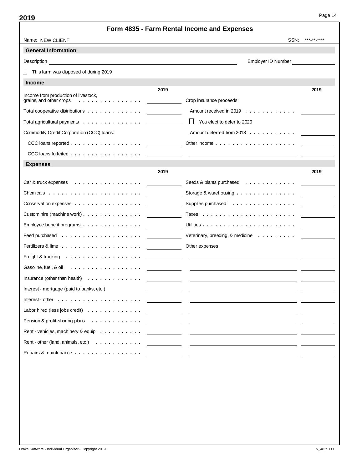| ×<br>۰. | ۰. |
|---------|----|
|---------|----|

|                                                                                                                                                                                                                                                     | Form 4835 - Farm Rental Income and Expenses                                  |             |
|-----------------------------------------------------------------------------------------------------------------------------------------------------------------------------------------------------------------------------------------------------|------------------------------------------------------------------------------|-------------|
| Name: NEW CLIENT                                                                                                                                                                                                                                    | SSN:                                                                         | *** ** **** |
| <b>General Information</b>                                                                                                                                                                                                                          |                                                                              |             |
| Description<br><u>and the state of the state of the state of the state of the state of the state of the state of the state of the state of the state of the state of the state of the state of the state of the state of the state of the state</u> | Employer ID Number                                                           |             |
| This farm was disposed of during 2019                                                                                                                                                                                                               |                                                                              |             |
| <b>Income</b>                                                                                                                                                                                                                                       |                                                                              |             |
| 2019<br>Income from production of livestock,<br>grains, and other crops<br>.                                                                                                                                                                        | Crop insurance proceeds:                                                     | 2019        |
| Total cooperative distributions $\dots \dots \dots \dots$                                                                                                                                                                                           | Amount received in 2019                                                      |             |
| Total agricultural payments $\ldots \ldots \ldots \ldots$                                                                                                                                                                                           | You elect to defer to 2020                                                   |             |
| Commodity Credit Corporation (CCC) loans:                                                                                                                                                                                                           | Amount deferred from 2018                                                    |             |
|                                                                                                                                                                                                                                                     | Other income $\ldots$ , $\ldots$ , $\ldots$ , $\ldots$ , $\ldots$ , $\ldots$ |             |
| CCC loans forfeited                                                                                                                                                                                                                                 |                                                                              |             |
| <b>Expenses</b>                                                                                                                                                                                                                                     |                                                                              |             |
| 2019                                                                                                                                                                                                                                                |                                                                              | 2019        |
| Car & truck expenses $\ldots \ldots \ldots \ldots \ldots$                                                                                                                                                                                           | Seeds & plants purchased                                                     |             |
| Chemicals $\ldots \ldots \ldots \ldots \ldots \ldots \ldots$                                                                                                                                                                                        | Storage & warehousing $\ldots \ldots \ldots \ldots$                          |             |
| Conservation expenses                                                                                                                                                                                                                               | Supplies purchased                                                           |             |
| Custom hire (machine work) $\dots \dots \dots \dots \dots$                                                                                                                                                                                          |                                                                              |             |
| Employee benefit programs $\ldots \ldots \ldots \ldots \ldots$                                                                                                                                                                                      |                                                                              |             |
|                                                                                                                                                                                                                                                     | Veterinary, breeding, & medicine                                             |             |
| Fertilizers & lime $\ldots$ , $\ldots$ , $\ldots$ , $\ldots$ , $\ldots$ , $\ldots$                                                                                                                                                                  | Other expenses                                                               |             |
|                                                                                                                                                                                                                                                     |                                                                              |             |
| Gasoline, fuel, & oil                                                                                                                                                                                                                               |                                                                              |             |
| Insurance (other than health) $\ldots \ldots \ldots \ldots$                                                                                                                                                                                         |                                                                              |             |
| Interest - mortgage (paid to banks, etc.)                                                                                                                                                                                                           |                                                                              |             |
| Interest - other $\dots \dots \dots \dots \dots \dots$                                                                                                                                                                                              |                                                                              |             |
| Labor hired (less jobs credit) $\ldots \ldots \ldots \ldots$                                                                                                                                                                                        |                                                                              |             |
| Pension & profit-sharing plans<br>.                                                                                                                                                                                                                 |                                                                              |             |
| Rent - vehicles, machinery & equip                                                                                                                                                                                                                  |                                                                              |             |
| Rent - other (land, animals, etc.)                                                                                                                                                                                                                  |                                                                              |             |
| Repairs & maintenance                                                                                                                                                                                                                               |                                                                              |             |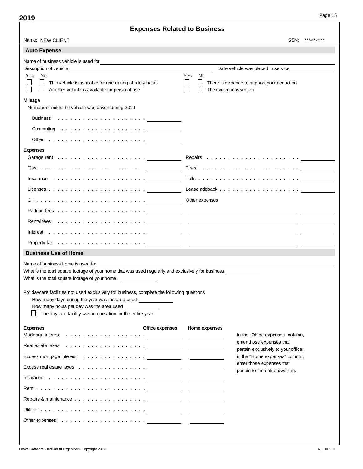| Name: NEW CLIENT<br>SSN:<br>*** ** ***:<br><b>Auto Expense</b><br>Name of business vehicle is used for<br><u>and the state of the state of the state of the state of the state of the state of the state of the state of th</u><br>Date vehicle was placed in service<br>Description of vehicle<br>No<br>Yes<br>Yes<br>No<br>This vehicle is available for use during off-duty hours<br>There is evidence to support your deduction<br>The evidence is written<br>Another vehicle is available for personal use<br><b>Mileage</b><br>Number of miles the vehicle was driven during 2019<br>Other $\dots \dots \dots \dots \dots \dots \dots \dots$<br><b>Expenses</b><br>Insurance $\dots\dots\dots\dots\dots\dots\dots\dots\dots$<br>Licenses $\dots \dots \dots \dots \dots \dots \dots \dots$<br>Other expenses<br><b>Business Use of Home</b><br>Name of business home is used for<br>What is the total square footage of your home that was used regularly and exclusively for business<br>What is the total square footage of your home<br>For daycare facilities not used exclusively for business, complete the following questions<br>How many days during the year was the area used<br>How many hours per day was the area used<br>The daycare facility was in operation for the entire year<br><b>Expenses</b><br>Office expenses<br>Home expenses<br>In the "Office expenses" column,<br>enter those expenses that<br>pertain exclusively to your office;<br>in the "Home expenses" column,<br>enter those expenses that<br>pertain to the entire dwelling. |  | Experises Related to Duslifess |  |
|--------------------------------------------------------------------------------------------------------------------------------------------------------------------------------------------------------------------------------------------------------------------------------------------------------------------------------------------------------------------------------------------------------------------------------------------------------------------------------------------------------------------------------------------------------------------------------------------------------------------------------------------------------------------------------------------------------------------------------------------------------------------------------------------------------------------------------------------------------------------------------------------------------------------------------------------------------------------------------------------------------------------------------------------------------------------------------------------------------------------------------------------------------------------------------------------------------------------------------------------------------------------------------------------------------------------------------------------------------------------------------------------------------------------------------------------------------------------------------------------------------------------------------------------------------------------------|--|--------------------------------|--|
|                                                                                                                                                                                                                                                                                                                                                                                                                                                                                                                                                                                                                                                                                                                                                                                                                                                                                                                                                                                                                                                                                                                                                                                                                                                                                                                                                                                                                                                                                                                                                                          |  |                                |  |
|                                                                                                                                                                                                                                                                                                                                                                                                                                                                                                                                                                                                                                                                                                                                                                                                                                                                                                                                                                                                                                                                                                                                                                                                                                                                                                                                                                                                                                                                                                                                                                          |  |                                |  |
|                                                                                                                                                                                                                                                                                                                                                                                                                                                                                                                                                                                                                                                                                                                                                                                                                                                                                                                                                                                                                                                                                                                                                                                                                                                                                                                                                                                                                                                                                                                                                                          |  |                                |  |
|                                                                                                                                                                                                                                                                                                                                                                                                                                                                                                                                                                                                                                                                                                                                                                                                                                                                                                                                                                                                                                                                                                                                                                                                                                                                                                                                                                                                                                                                                                                                                                          |  |                                |  |
|                                                                                                                                                                                                                                                                                                                                                                                                                                                                                                                                                                                                                                                                                                                                                                                                                                                                                                                                                                                                                                                                                                                                                                                                                                                                                                                                                                                                                                                                                                                                                                          |  |                                |  |
|                                                                                                                                                                                                                                                                                                                                                                                                                                                                                                                                                                                                                                                                                                                                                                                                                                                                                                                                                                                                                                                                                                                                                                                                                                                                                                                                                                                                                                                                                                                                                                          |  |                                |  |
|                                                                                                                                                                                                                                                                                                                                                                                                                                                                                                                                                                                                                                                                                                                                                                                                                                                                                                                                                                                                                                                                                                                                                                                                                                                                                                                                                                                                                                                                                                                                                                          |  |                                |  |
|                                                                                                                                                                                                                                                                                                                                                                                                                                                                                                                                                                                                                                                                                                                                                                                                                                                                                                                                                                                                                                                                                                                                                                                                                                                                                                                                                                                                                                                                                                                                                                          |  |                                |  |
|                                                                                                                                                                                                                                                                                                                                                                                                                                                                                                                                                                                                                                                                                                                                                                                                                                                                                                                                                                                                                                                                                                                                                                                                                                                                                                                                                                                                                                                                                                                                                                          |  |                                |  |
|                                                                                                                                                                                                                                                                                                                                                                                                                                                                                                                                                                                                                                                                                                                                                                                                                                                                                                                                                                                                                                                                                                                                                                                                                                                                                                                                                                                                                                                                                                                                                                          |  |                                |  |
|                                                                                                                                                                                                                                                                                                                                                                                                                                                                                                                                                                                                                                                                                                                                                                                                                                                                                                                                                                                                                                                                                                                                                                                                                                                                                                                                                                                                                                                                                                                                                                          |  |                                |  |
|                                                                                                                                                                                                                                                                                                                                                                                                                                                                                                                                                                                                                                                                                                                                                                                                                                                                                                                                                                                                                                                                                                                                                                                                                                                                                                                                                                                                                                                                                                                                                                          |  |                                |  |
|                                                                                                                                                                                                                                                                                                                                                                                                                                                                                                                                                                                                                                                                                                                                                                                                                                                                                                                                                                                                                                                                                                                                                                                                                                                                                                                                                                                                                                                                                                                                                                          |  |                                |  |
|                                                                                                                                                                                                                                                                                                                                                                                                                                                                                                                                                                                                                                                                                                                                                                                                                                                                                                                                                                                                                                                                                                                                                                                                                                                                                                                                                                                                                                                                                                                                                                          |  |                                |  |
|                                                                                                                                                                                                                                                                                                                                                                                                                                                                                                                                                                                                                                                                                                                                                                                                                                                                                                                                                                                                                                                                                                                                                                                                                                                                                                                                                                                                                                                                                                                                                                          |  |                                |  |
|                                                                                                                                                                                                                                                                                                                                                                                                                                                                                                                                                                                                                                                                                                                                                                                                                                                                                                                                                                                                                                                                                                                                                                                                                                                                                                                                                                                                                                                                                                                                                                          |  |                                |  |
|                                                                                                                                                                                                                                                                                                                                                                                                                                                                                                                                                                                                                                                                                                                                                                                                                                                                                                                                                                                                                                                                                                                                                                                                                                                                                                                                                                                                                                                                                                                                                                          |  |                                |  |
|                                                                                                                                                                                                                                                                                                                                                                                                                                                                                                                                                                                                                                                                                                                                                                                                                                                                                                                                                                                                                                                                                                                                                                                                                                                                                                                                                                                                                                                                                                                                                                          |  |                                |  |
|                                                                                                                                                                                                                                                                                                                                                                                                                                                                                                                                                                                                                                                                                                                                                                                                                                                                                                                                                                                                                                                                                                                                                                                                                                                                                                                                                                                                                                                                                                                                                                          |  |                                |  |
|                                                                                                                                                                                                                                                                                                                                                                                                                                                                                                                                                                                                                                                                                                                                                                                                                                                                                                                                                                                                                                                                                                                                                                                                                                                                                                                                                                                                                                                                                                                                                                          |  |                                |  |
|                                                                                                                                                                                                                                                                                                                                                                                                                                                                                                                                                                                                                                                                                                                                                                                                                                                                                                                                                                                                                                                                                                                                                                                                                                                                                                                                                                                                                                                                                                                                                                          |  |                                |  |
|                                                                                                                                                                                                                                                                                                                                                                                                                                                                                                                                                                                                                                                                                                                                                                                                                                                                                                                                                                                                                                                                                                                                                                                                                                                                                                                                                                                                                                                                                                                                                                          |  |                                |  |
|                                                                                                                                                                                                                                                                                                                                                                                                                                                                                                                                                                                                                                                                                                                                                                                                                                                                                                                                                                                                                                                                                                                                                                                                                                                                                                                                                                                                                                                                                                                                                                          |  |                                |  |
|                                                                                                                                                                                                                                                                                                                                                                                                                                                                                                                                                                                                                                                                                                                                                                                                                                                                                                                                                                                                                                                                                                                                                                                                                                                                                                                                                                                                                                                                                                                                                                          |  |                                |  |
|                                                                                                                                                                                                                                                                                                                                                                                                                                                                                                                                                                                                                                                                                                                                                                                                                                                                                                                                                                                                                                                                                                                                                                                                                                                                                                                                                                                                                                                                                                                                                                          |  |                                |  |
|                                                                                                                                                                                                                                                                                                                                                                                                                                                                                                                                                                                                                                                                                                                                                                                                                                                                                                                                                                                                                                                                                                                                                                                                                                                                                                                                                                                                                                                                                                                                                                          |  |                                |  |
|                                                                                                                                                                                                                                                                                                                                                                                                                                                                                                                                                                                                                                                                                                                                                                                                                                                                                                                                                                                                                                                                                                                                                                                                                                                                                                                                                                                                                                                                                                                                                                          |  |                                |  |
|                                                                                                                                                                                                                                                                                                                                                                                                                                                                                                                                                                                                                                                                                                                                                                                                                                                                                                                                                                                                                                                                                                                                                                                                                                                                                                                                                                                                                                                                                                                                                                          |  |                                |  |
|                                                                                                                                                                                                                                                                                                                                                                                                                                                                                                                                                                                                                                                                                                                                                                                                                                                                                                                                                                                                                                                                                                                                                                                                                                                                                                                                                                                                                                                                                                                                                                          |  |                                |  |
|                                                                                                                                                                                                                                                                                                                                                                                                                                                                                                                                                                                                                                                                                                                                                                                                                                                                                                                                                                                                                                                                                                                                                                                                                                                                                                                                                                                                                                                                                                                                                                          |  |                                |  |
|                                                                                                                                                                                                                                                                                                                                                                                                                                                                                                                                                                                                                                                                                                                                                                                                                                                                                                                                                                                                                                                                                                                                                                                                                                                                                                                                                                                                                                                                                                                                                                          |  |                                |  |
|                                                                                                                                                                                                                                                                                                                                                                                                                                                                                                                                                                                                                                                                                                                                                                                                                                                                                                                                                                                                                                                                                                                                                                                                                                                                                                                                                                                                                                                                                                                                                                          |  |                                |  |
|                                                                                                                                                                                                                                                                                                                                                                                                                                                                                                                                                                                                                                                                                                                                                                                                                                                                                                                                                                                                                                                                                                                                                                                                                                                                                                                                                                                                                                                                                                                                                                          |  |                                |  |
|                                                                                                                                                                                                                                                                                                                                                                                                                                                                                                                                                                                                                                                                                                                                                                                                                                                                                                                                                                                                                                                                                                                                                                                                                                                                                                                                                                                                                                                                                                                                                                          |  |                                |  |
|                                                                                                                                                                                                                                                                                                                                                                                                                                                                                                                                                                                                                                                                                                                                                                                                                                                                                                                                                                                                                                                                                                                                                                                                                                                                                                                                                                                                                                                                                                                                                                          |  |                                |  |
|                                                                                                                                                                                                                                                                                                                                                                                                                                                                                                                                                                                                                                                                                                                                                                                                                                                                                                                                                                                                                                                                                                                                                                                                                                                                                                                                                                                                                                                                                                                                                                          |  |                                |  |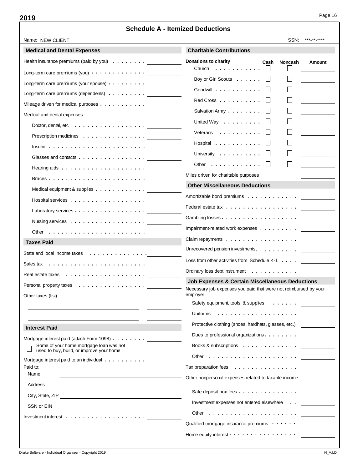| Name: NEW CLIENT                                                                    | uule A - Ileiliized Deuuclions<br>SSN:<br>*** ** ****                            |
|-------------------------------------------------------------------------------------|----------------------------------------------------------------------------------|
| <b>Medical and Dental Expenses</b>                                                  | <b>Charitable Contributions</b>                                                  |
| Health insurance premiums (paid by you)                                             | Donations to charity<br>Cash<br><b>Noncash</b><br>Amount                         |
| Long-term care premiums (you) $\cdots$ $\cdots$ $\cdots$ $\cdots$ $\cdots$ $\cdots$ | Church<br>.                                                                      |
| Long-term care premiums (your spouse) $\cdots$ $\cdots$ $\cdots$                    | Boy or Girl Scouts                                                               |
| Long-term care premiums (dependents)                                                | Goodwill                                                                         |
| Mileage driven for medical purposes                                                 | Red Cross                                                                        |
| Medical and dental expenses                                                         | Salvation Army $\ldots \ldots \ldots$                                            |
| Doctor, dental, etc $\ldots \ldots \ldots \ldots \ldots$                            | United Way                                                                       |
| Prescription medicines                                                              | Veterans                                                                         |
|                                                                                     | Hospital                                                                         |
| Glasses and contacts                                                                | University                                                                       |
|                                                                                     | Other $\dots$ , $\dots$ , $\dots$                                                |
|                                                                                     | Miles driven for charitable purposes                                             |
| Medical equipment & supplies                                                        | <b>Other Miscellaneous Deductions</b>                                            |
|                                                                                     | Amortizable bond premiums                                                        |
| Laboratory services.                                                                |                                                                                  |
|                                                                                     |                                                                                  |
| Other $\ldots \ldots \ldots \ldots \ldots \ldots \ldots$                            |                                                                                  |
| <b>Taxes Paid</b>                                                                   | Claim repayments $\dots \dots \dots \dots \dots \dots$                           |
| State and local income taxes                                                        | Unrecovered pension investments.                                                 |
|                                                                                     | Loss from other activities from Schedule K-1                                     |
|                                                                                     | Ordinary loss debt instrument                                                    |
| Personal property taxes                                                             | <b>Job Expenses &amp; Certain Miscellaneous Deductions</b>                       |
| Other taxes (list)                                                                  | Necessary job expenses you paid that were not reimbursed by your<br>emplover     |
|                                                                                     |                                                                                  |
|                                                                                     |                                                                                  |
| <b>Interest Paid</b>                                                                | Protective clothing (shoes, hardhats, glasses, etc.) ___________________________ |
| Mortgage interest paid (attach Form 1098)                                           | Dues to professional organizations.                                              |
| Some of your home mortgage loan was not<br>used to buy, build, or improve your home |                                                                                  |
| Mortgage interest paid to an individual                                             |                                                                                  |
| Paid to:                                                                            | Tax preparation fees <u>.</u>                                                    |
| Name                                                                                | Other nonpersonal expenses related to taxable income                             |
| Address                                                                             | Safe deposit box fees                                                            |
| City, State, ZIP<br><u> 1989 - Johann Stoff, fransk politik (d. 1989)</u>           | Investment expenses not entered elsewhere                                        |
| SSN or EIN                                                                          | Other $\ldots \ldots \ldots \ldots \ldots \ldots$                                |
| Investment interest $\dots\dots\dots\dots\dots\dots\dots$                           | Qualified mortgage insurance premiums $\cdots \cdots$                            |
|                                                                                     | Home equity interest $\cdots$                                                    |
|                                                                                     |                                                                                  |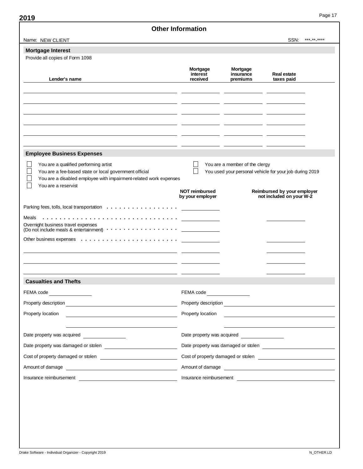| Name: NEW CLIENT                                                                                                                                                                            |                                                                                                                                                                                                                                      |                                   | SSN:<br>*** ** ****                                     |
|---------------------------------------------------------------------------------------------------------------------------------------------------------------------------------------------|--------------------------------------------------------------------------------------------------------------------------------------------------------------------------------------------------------------------------------------|-----------------------------------|---------------------------------------------------------|
| <b>Mortgage Interest</b>                                                                                                                                                                    |                                                                                                                                                                                                                                      |                                   |                                                         |
| Provide all copies of Form 1098                                                                                                                                                             |                                                                                                                                                                                                                                      |                                   |                                                         |
| Lender's name                                                                                                                                                                               | Mortgage<br>interest<br>received                                                                                                                                                                                                     | Mortgage<br>insurance<br>premiums | Real estate<br>taxes paid                               |
|                                                                                                                                                                                             |                                                                                                                                                                                                                                      |                                   |                                                         |
| <b>Employee Business Expenses</b>                                                                                                                                                           |                                                                                                                                                                                                                                      |                                   |                                                         |
| You are a qualified performing artist<br>You are a fee-based state or local government official<br>You are a disabled employee with impairment-related work expenses<br>You are a reservist | You are a member of the clergy<br>You used your personal vehicle for your job during 2019                                                                                                                                            |                                   |                                                         |
|                                                                                                                                                                                             | <b>NOT reimbursed</b><br>by your employer                                                                                                                                                                                            |                                   | Reimbursed by your employer<br>not included on your W-2 |
|                                                                                                                                                                                             |                                                                                                                                                                                                                                      |                                   |                                                         |
| Meals<br>Overnight business travel expenses                                                                                                                                                 |                                                                                                                                                                                                                                      |                                   |                                                         |
|                                                                                                                                                                                             |                                                                                                                                                                                                                                      |                                   |                                                         |
| <b>Casualties and Thefts</b>                                                                                                                                                                |                                                                                                                                                                                                                                      |                                   |                                                         |
| FEMA code                                                                                                                                                                                   | FEMA code                                                                                                                                                                                                                            |                                   |                                                         |
|                                                                                                                                                                                             | Property description <u>contract and the contract of the contract of the contract of the contract of the contract of the contract of the contract of the contract of the contract of the contract of the contract of the contrac</u> |                                   |                                                         |
| Property location                                                                                                                                                                           | Property location                                                                                                                                                                                                                    |                                   | <u> 1989 - John Stein, Amerikaansk politiker (</u>      |
| Date property was acquired _______________                                                                                                                                                  | Date property was acquired                                                                                                                                                                                                           |                                   |                                                         |
|                                                                                                                                                                                             |                                                                                                                                                                                                                                      |                                   |                                                         |
| Cost of property damaged or stolen <b>Cost of property damaged or stolen</b>                                                                                                                |                                                                                                                                                                                                                                      |                                   |                                                         |
|                                                                                                                                                                                             | Amount of damage                                                                                                                                                                                                                     |                                   |                                                         |
|                                                                                                                                                                                             |                                                                                                                                                                                                                                      |                                   | Insurance reimbursement                                 |